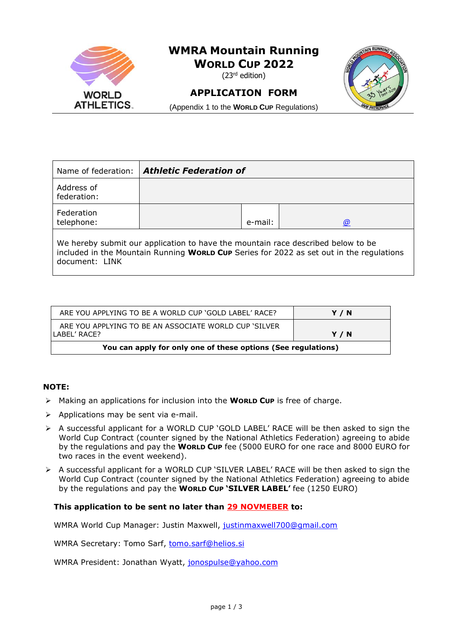

| Name of federation:       | <b>Athletic Federation of</b>                                                    |         |                                                                                          |
|---------------------------|----------------------------------------------------------------------------------|---------|------------------------------------------------------------------------------------------|
| Address of<br>federation: |                                                                                  |         |                                                                                          |
| Federation<br>telephone:  |                                                                                  | e-mail: | $\omega$                                                                                 |
| document: LINK            | We hereby submit our application to have the mountain race described below to be |         | included in the Mountain Running World Cup Series for 2022 as set out in the regulations |

| You can apply for only one of these options (See regulations)         |       |
|-----------------------------------------------------------------------|-------|
| ARE YOU APPLYING TO BE AN ASSOCIATE WORLD CUP 'SILVER<br>LABEL' RACE? | Y / N |
| ARE YOU APPLYING TO BE A WORLD CUP 'GOLD LABEL' RACE?                 | Y / N |

### **NOTE:**

- ➢ Making an applications for inclusion into the **WORLD CUP** is free of charge.
- ➢ Applications may be sent via e-mail.
- ➢ A successful applicant for a WORLD CUP 'GOLD LABEL' RACE will be then asked to sign the World Cup Contract (counter signed by the National Athletics Federation) agreeing to abide by the regulations and pay the **WORLD CUP** fee (5000 EURO for one race and 8000 EURO for two races in the event weekend).
- ➢ A successful applicant for a WORLD CUP 'SILVER LABEL' RACE will be then asked to sign the World Cup Contract (counter signed by the National Athletics Federation) agreeing to abide by the regulations and pay the **WORLD CUP 'SILVER LABEL'** fee (1250 EURO)

#### **This application to be sent no later than 29 NOVMEBER to:**

WMRA World Cup Manager: Justin Maxwell, [justinmaxwell700@gmail.com](mailto:justinmaxwell700@gmail.com)

WMRA Secretary: Tomo Sarf, [tomo.sarf@helios.si](mailto:tomo.sarf@helios.si)

WMRA President: Jonathan Wyatt, [jonospulse@yahoo.com](mailto:jonospulse@yahoo.com)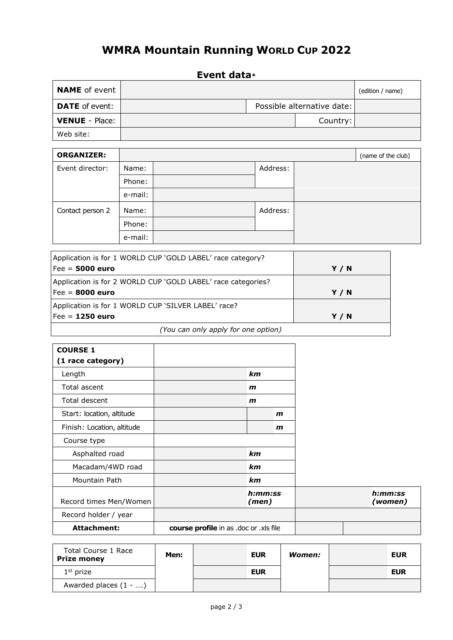# **WMRA Mountain Running WORLD CUP 2022**

## **Event data\***

| <b>NAME</b> of event  |  |                            | (edition / name) |
|-----------------------|--|----------------------------|------------------|
| <b>DATE</b> of event: |  | Possible alternative date: |                  |
| <b>VENUE</b> - Place: |  | Country:                   |                  |
| Web site:             |  |                            |                  |

| <b>ORGANIZER:</b> |         |          | (name of the club) |
|-------------------|---------|----------|--------------------|
| Event director:   | Name:   | Address: |                    |
|                   | Phone:  |          |                    |
|                   | e-mail: |          |                    |
| Contact person 2  | Name:   | Address: |                    |
|                   | Phone:  |          |                    |
|                   | e-mail: |          |                    |

| Application is for 1 WORLD CUP 'GOLD LABEL' race category?   |     |
|--------------------------------------------------------------|-----|
| Fee = $5000$ euro                                            | Y/N |
| Application is for 2 WORLD CUP 'GOLD LABEL' race categories? |     |
| Fee = 8000 euro                                              | Y/N |
| Application is for 1 WORLD CUP 'SILVER LABEL' race?          |     |
| Fee = $1250$ euro                                            | Y/N |
| (You can only apply for one option)                          |     |

| <b>COURSE 1</b><br>(1 race category) |                                        |                  |              |  |                    |
|--------------------------------------|----------------------------------------|------------------|--------------|--|--------------------|
| Length                               |                                        | km               |              |  |                    |
| Total ascent                         |                                        | $\mathbf{m}$     |              |  |                    |
| Total descent                        |                                        | $\mathbf{m}$     |              |  |                    |
| Start: location, altitude            |                                        |                  | $\mathbf{m}$ |  |                    |
| Finish: Location, altitude           |                                        |                  | $\mathbf{m}$ |  |                    |
| Course type                          |                                        |                  |              |  |                    |
| Asphalted road                       |                                        | km               |              |  |                    |
| Macadam/4WD road                     |                                        | km               |              |  |                    |
| Mountain Path                        |                                        | km               |              |  |                    |
| Record times Men/Women               |                                        | h:mm:ss<br>(men) |              |  | h:mm:ss<br>(women) |
| Record holder / year                 |                                        |                  |              |  |                    |
| Attachment:                          | course profile in as .doc or .xls file |                  |              |  |                    |

| Total Course 1 Race<br>Prize money | Men: | <b>EUR</b> | Women: | <b>EUR</b> |
|------------------------------------|------|------------|--------|------------|
| $1st$ prize                        |      | <b>EUR</b> |        | <b>EUR</b> |
| Awarded places $(1 - )$            |      |            |        |            |